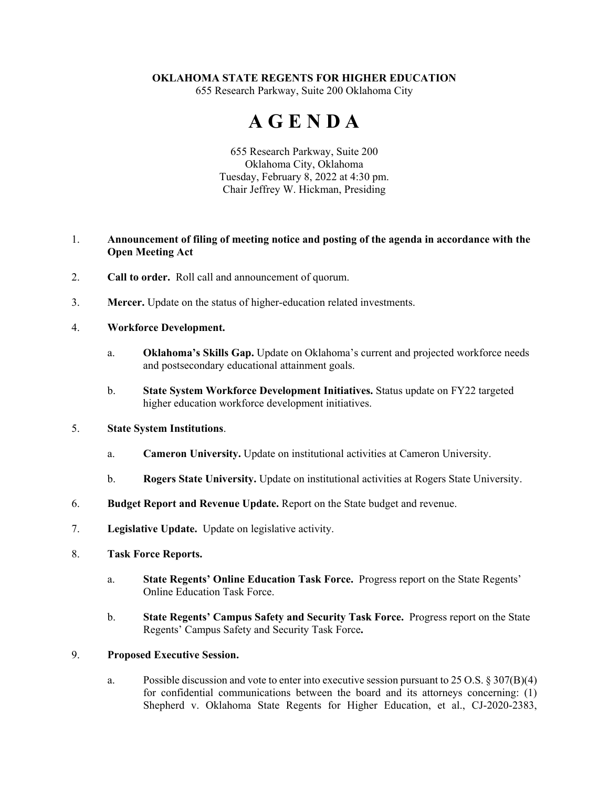## **OKLAHOMA STATE REGENTS FOR HIGHER EDUCATION**

655 Research Parkway, Suite 200 Oklahoma City

# **A G E N D A**

655 Research Parkway, Suite 200 Oklahoma City, Oklahoma Tuesday, February 8, 2022 at 4:30 pm. Chair Jeffrey W. Hickman, Presiding

## 1. **Announcement of filing of meeting notice and posting of the agenda in accordance with the Open Meeting Act**

- 2. **Call to order.** Roll call and announcement of quorum.
- 3. **Mercer.** Update on the status of higher-education related investments.

### 4. **Workforce Development.**

- a. **Oklahoma's Skills Gap.** Update on Oklahoma's current and projected workforce needs and postsecondary educational attainment goals.
- b. **State System Workforce Development Initiatives.** Status update on FY22 targeted higher education workforce development initiatives.

#### 5. **State System Institutions**.

- a. **Cameron University.** Update on institutional activities at Cameron University.
- b. **Rogers State University.** Update on institutional activities at Rogers State University.
- 6. **Budget Report and Revenue Update.** Report on the State budget and revenue.
- 7. **Legislative Update.** Update on legislative activity.
- 8. **Task Force Reports.**
	- a. **State Regents' Online Education Task Force.** Progress report on the State Regents' Online Education Task Force.
	- b. **State Regents' Campus Safety and Security Task Force.** Progress report on the State Regents' Campus Safety and Security Task Force**.**

#### 9. **Proposed Executive Session.**

a. Possible discussion and vote to enter into executive session pursuant to 25 O.S. § 307(B)(4) for confidential communications between the board and its attorneys concerning: (1) Shepherd v. Oklahoma State Regents for Higher Education, et al., CJ-2020-2383,